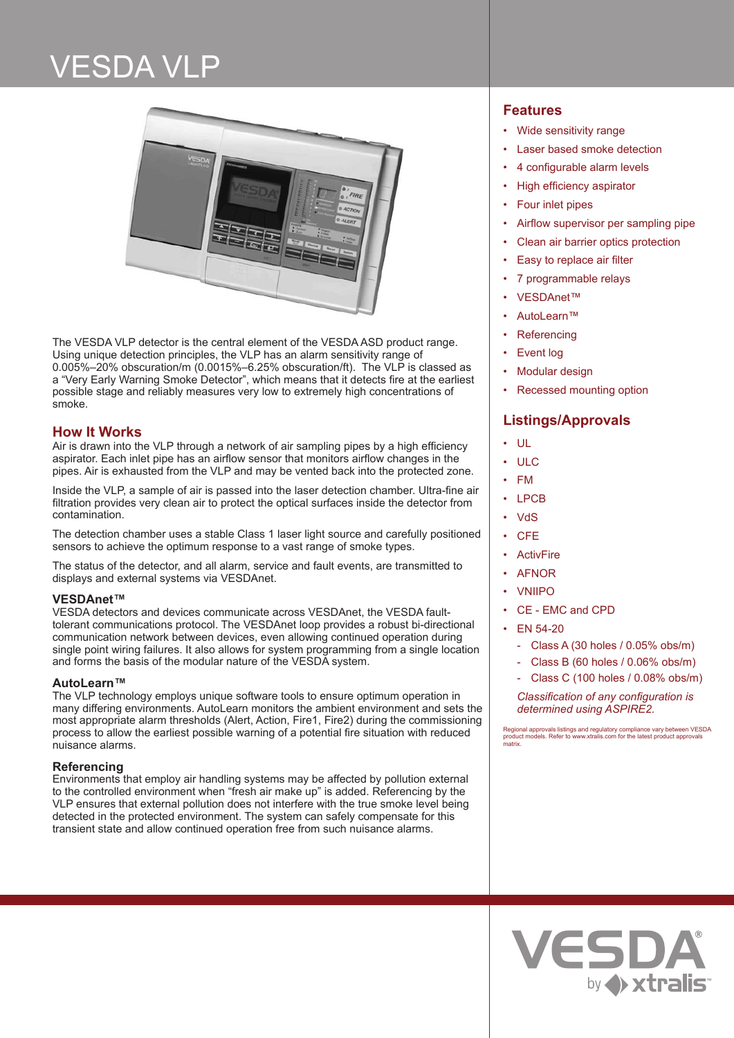# VESDA VLP



The VESDA VLP detector is the central element of the VESDA ASD product range. Using unique detection principles, the VLP has an alarm sensitivity range of 0.005%–20% obscuration/m (0.0015%–6.25% obscuration/ft). The VLP is classed as a "Very Early Warning Smoke Detector", which means that it detects fire at the earliest possible stage and reliably measures very low to extremely high concentrations of smoke.

# **How It Works**

Air is drawn into the VLP through a network of air sampling pipes by a high efficiency aspirator. Each inlet pipe has an airflow sensor that monitors airflow changes in the pipes. Air is exhausted from the VLP and may be vented back into the protected zone.

Inside the VLP, a sample of air is passed into the laser detection chamber. Ultra-fine air filtration provides very clean air to protect the optical surfaces inside the detector from contamination.

The detection chamber uses a stable Class 1 laser light source and carefully positioned sensors to achieve the optimum response to a vast range of smoke types.

The status of the detector, and all alarm, service and fault events, are transmitted to displays and external systems via VESDAnet.

# **VESDAnet™**

VESDA detectors and devices communicate across VESDAnet, the VESDA faulttolerant communications protocol. The VESDAnet loop provides a robust bi-directional communication network between devices, even allowing continued operation during single point wiring failures. It also allows for system programming from a single location and forms the basis of the modular nature of the VESDA system.

# **AutoLearn™**

The VLP technology employs unique software tools to ensure optimum operation in many differing environments. AutoLearn monitors the ambient environment and sets the most appropriate alarm thresholds (Alert, Action, Fire1, Fire2) during the commissioning process to allow the earliest possible warning of a potential fire situation with reduced nuisance alarms.

# **Referencing**

Environments that employ air handling systems may be affected by pollution external to the controlled environment when "fresh air make up" is added. Referencing by the VLP ensures that external pollution does not interfere with the true smoke level being detected in the protected environment. The system can safely compensate for this transient state and allow continued operation free from such nuisance alarms.

# **Features**

- Wide sensitivity range
- Laser based smoke detection
- 4 configurable alarm levels
- High efficiency aspirator
- Four inlet pipes
- Airflow supervisor per sampling pipe
- Clean air barrier optics protection
- Easy to replace air filter
- 7 programmable relays
- VESDAnet™
- AutoLearn™
- **Referencing**
- Event log
- Modular design
- Recessed mounting option

# **Listings/Approvals**

- UL
- ULC
- FM
- LPCB
- VdS
- CFE
- **ActivFire**
- AFNOR
- VNIIPO
- CE EMC and CPD

# • EN 54-20

- Class A (30 holes / 0.05% obs/m)
- Class B (60 holes / 0.06% obs/m)
- Class C (100 holes / 0.08% obs/m)

*Classification of any configuration is determined using ASPIRE2.*

Regional approvals listings and regulatory compliance vary between VESDA product models. Refer to www.xtralis.com for the latest product approvals matrix.